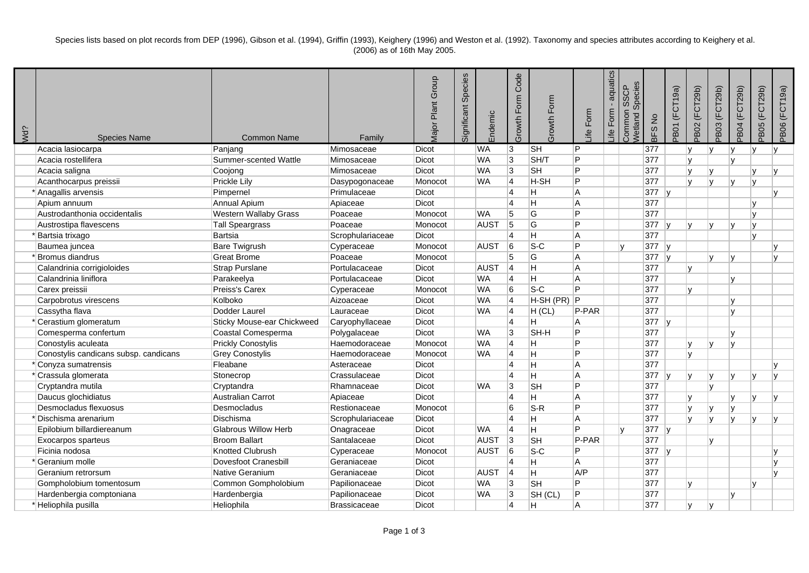Species lists based on plot records from DEP (1996), Gibson et al. (1994), Griffin (1993), Keighery (1996) and Weston et al. (1992). Taxonomy and species attributes according to Keighery et al. (2006) as of 16th May 2005.

| Wd? | <b>Species Name</b>                   | Common Name                       | Family              | <b>Major Plant Group</b> | Species<br>Significant | Endemic     | Code<br>Growth Form     | Growth Form               | Form<br>Life | aquatics<br>Form<br>_ife | Species<br><b>SSCP</b><br>Common<br>Netland | BFS No  | <b>PB01 (FCT19a)</b> | PB02 (FCT29b) | PB03 (FCT29b)           | <b>PB04 (FCT29b)</b> | PB05 (FCT29b) | PB06 (FCT19a) |
|-----|---------------------------------------|-----------------------------------|---------------------|--------------------------|------------------------|-------------|-------------------------|---------------------------|--------------|--------------------------|---------------------------------------------|---------|----------------------|---------------|-------------------------|----------------------|---------------|---------------|
|     | Acacia lasiocarpa                     | Panjang                           | Mimosaceae          | Dicot                    |                        | <b>WA</b>   | 3                       | $\overline{\mathsf{S}}$ H | P            |                          |                                             | 377     |                      | ۱v            | lV.                     | IV.                  |               | IV.           |
|     | Acacia rostellifera                   | Summer-scented Wattle             | Mimosaceae          | Dicot                    |                        | <b>WA</b>   | 3                       | SH/T                      | Þ            |                          |                                             | 377     |                      | l٧            |                         | $\mathsf{v}$         |               |               |
|     | Acacia saligna                        | Coojong                           | Mimosaceae          | Dicot                    |                        | <b>WA</b>   | $\overline{3}$          | <b>SH</b>                 | P            |                          |                                             | 377     |                      | ١v            | Iv                      |                      | <b>V</b>      | lv.           |
|     | Acanthocarpus preissii                | Prickle Lily                      | Dasypogonaceae      | Monocot                  |                        | <b>WA</b>   | 4                       | H-SH                      | D            |                          |                                             | 377     |                      | lv            | l v                     | $\mathsf{v}$         |               |               |
|     | * Anagallis arvensis                  | Pimpernel                         | Primulaceae         | Dicot                    |                        |             | $\overline{4}$          | H                         | A            |                          |                                             | $377$ y |                      |               |                         |                      |               | $\mathbf{v}$  |
|     | Apium annuum                          | Annual Apium                      | Apiaceae            | <b>Dicot</b>             |                        |             | $\overline{\mathbf{A}}$ | Η                         | A            |                          |                                             | 377     |                      |               |                         |                      |               |               |
|     | Austrodanthonia occidentalis          | Western Wallaby Grass             | Poaceae             | Monocot                  |                        | <b>WA</b>   | 5                       | G                         | D            |                          |                                             | 377     |                      |               |                         |                      |               |               |
|     | Austrostipa flavescens                | <b>Tall Speargrass</b>            | Poaceae             | Monocot                  |                        | <b>AUST</b> | 5                       | G                         | D            |                          |                                             | 377     |                      |               |                         |                      |               |               |
|     | Bartsia trixago                       | <b>Bartsia</b>                    | Scrophulariaceae    | Dicot                    |                        |             | 14                      | H                         | A            |                          |                                             | 377     |                      |               |                         |                      |               |               |
|     | Baumea juncea                         | <b>Bare Twigrush</b>              | Cyperaceae          | Monocot                  |                        | <b>AUST</b> | 6                       | $S-C$                     | D            |                          | $\mathbf v$                                 | $377$ y |                      |               |                         |                      |               |               |
|     | Bromus diandrus                       | <b>Great Brome</b>                | Poaceae             | Monocot                  |                        |             | 5                       | G                         | A            |                          |                                             | 377     | v                    |               | $\mathbf{v}$            | $\mathsf{v}$         |               | $\mathbf{v}$  |
|     | Calandrinia corrigioloides            | Strap Purslane                    | Portulacaceae       | Dicot                    |                        | <b>AUST</b> | 14                      | H.                        | A            |                          |                                             | 377     |                      | l٧            |                         |                      |               |               |
|     | Calandrinia liniflora                 | Parakeelya                        | Portulacaceae       | Dicot                    |                        | <b>WA</b>   | 4                       | Η                         | A            |                          |                                             | 377     |                      |               |                         | v                    |               |               |
|     | Carex preissii                        | Preiss's Carex                    | Cyperaceae          | Monocot                  |                        | <b>WA</b>   | 6                       | $ S-C $                   | Þ            |                          |                                             | 377     |                      | M             |                         |                      |               |               |
|     | Carpobrotus virescens                 | Kolboko                           | Aizoaceae           | Dicot                    |                        | <b>WA</b>   | 4                       | H-SH (PR)                 | P            |                          |                                             | 377     |                      |               |                         | v                    |               |               |
|     | Cassytha flava                        | Dodder Laurel                     | Lauraceae           | Dicot                    |                        | <b>WA</b>   | 4                       | H (CL)                    | P-PAR        |                          |                                             | 377     |                      |               |                         | $\mathsf{v}$         |               |               |
|     | Cerastium glomeratum                  | <b>Sticky Mouse-ear Chickweed</b> | Caryophyllaceae     | Dicot                    |                        |             | $\overline{4}$          | Η                         | A            |                          |                                             | 377     | ∣v                   |               |                         |                      |               |               |
|     | Comesperma confertum                  | Coastal Comesperma                | Polygalaceae        | Dicot                    |                        | <b>WA</b>   | $\overline{3}$          | SH-H                      | P            |                          |                                             | 377     |                      |               |                         | v                    |               |               |
|     | Conostylis aculeata                   | <b>Prickly Conostylis</b>         | Haemodoraceae       | Monocot                  |                        | <b>WA</b>   | 4                       | Η                         | D            |                          |                                             | 377     |                      | l v           |                         | v                    |               |               |
|     | Conostylis candicans subsp. candicans | <b>Grey Conostylis</b>            | Haemodoraceae       | Monocot                  |                        | <b>WA</b>   | $\overline{4}$          | H                         | D            |                          |                                             | 377     |                      | l٧            |                         |                      |               |               |
|     | * Conyza sumatrensis                  | Fleabane                          | Asteraceae          | Dicot                    |                        |             | 14                      | Η                         | A            |                          |                                             | 377     |                      |               |                         |                      |               |               |
|     | * Crassula glomerata                  | Stonecrop                         | Crassulaceae        | Dicot                    |                        |             | 4                       | $\overline{H}$            | A            |                          |                                             | 377     | <b>IV</b>            | ۱v            |                         | v                    |               |               |
|     | Cryptandra mutila                     | Cryptandra                        | Rhamnaceae          | Dicot                    |                        | <b>WA</b>   | 3                       | <b>SH</b>                 | D            |                          |                                             | 377     |                      |               | $\overline{M}$          |                      |               |               |
|     | Daucus glochidiatus                   | Australian Carrot                 | Apiaceae            | Dicot                    |                        |             | $\overline{\mathbf{A}}$ | H                         | A            |                          |                                             | 377     |                      | l٧            |                         | $\mathbf{v}$         |               | $\mathbf{v}$  |
|     | Desmocladus flexuosus                 | Desmocladus                       | Restionaceae        | Monocot                  |                        |             | 6                       | $S-R$                     | D            |                          |                                             | 377     |                      | l٧            |                         | $\mathbf{v}$         |               |               |
|     | ' Dischisma arenarium                 | Dischisma                         | Scrophulariaceae    | Dicot                    |                        |             | $\overline{4}$          | Η                         | ۱A           |                          |                                             | 377     |                      | l v           |                         |                      |               |               |
|     | Epilobium billardiereanum             | <b>Glabrous Willow Herb</b>       | Onagraceae          | Dicot                    |                        | <b>WA</b>   | 14                      | H.                        | P            |                          | ۱v                                          | $377$ y |                      |               |                         |                      |               |               |
|     | Exocarpos sparteus                    | <b>Broom Ballart</b>              | Santalaceae         | Dicot                    |                        | <b>AUST</b> | 3                       | <b>SH</b>                 | P-PAR        |                          |                                             | 377     |                      |               | v                       |                      |               |               |
|     | Ficinia nodosa                        | <b>Knotted Clubrush</b>           | Cyperaceae          | Monocot                  |                        | <b>AUST</b> | <sup>6</sup>            | $s-c$                     | Þ            |                          |                                             | $377$ y |                      |               |                         |                      |               | $\mathbf{v}$  |
|     | <sup>*</sup> Geranium molle           | <b>Dovesfoot Cranesbill</b>       | Geraniaceae         | Dicot                    |                        |             | 14                      | H                         | A            |                          |                                             | 377     |                      |               |                         |                      |               | $\mathbf{v}$  |
|     | Geranium retrorsum                    | <b>Native Geranium</b>            | Geraniaceae         | Dicot                    |                        | <b>AUST</b> | 14                      | Η                         | A/P          |                          |                                             | 377     |                      |               |                         |                      |               | $\mathsf{v}$  |
|     | Gompholobium tomentosum               | Common Gompholobium               | Papilionaceae       | Dicot                    |                        | <b>WA</b>   | 3                       | <b>SH</b>                 | P            |                          |                                             | 377     |                      | l v           |                         |                      |               |               |
|     | Hardenbergia comptoniana              | Hardenbergia                      | Papilionaceae       | Dicot                    |                        | <b>WA</b>   | $\overline{3}$          | SH (CL)                   | P            |                          |                                             | 377     |                      |               |                         | V                    |               |               |
|     | * Heliophila pusilla                  | Heliophila                        | <b>Brassicaceae</b> | Dicot                    |                        |             | 14                      | H.                        | A            |                          |                                             | 377     |                      | ۱v            | $\mathsf{I} \mathsf{V}$ |                      |               |               |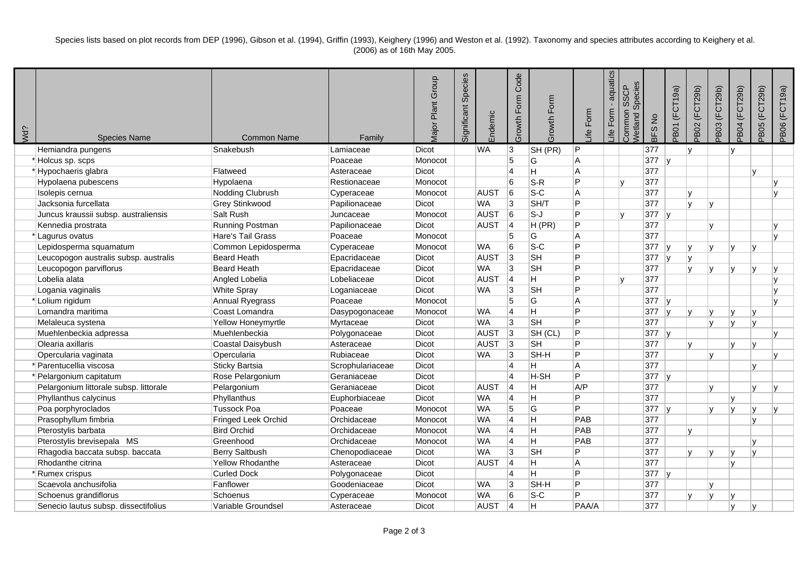Species lists based on plot records from DEP (1996), Gibson et al. (1994), Griffin (1993), Keighery (1996) and Weston et al. (1992). Taxonomy and species attributes according to Keighery et al. (2006) as of 16th May 2005.

| Wd? | <b>Species Name</b>                    | <b>Common Name</b>    | Family           | Major Plant Group | Significant Species | Endemic     | Code<br>Growth Form     | Growth Form    | Form<br>_ife   | aquatics<br>Form<br>_ife | Species<br><b>SSCP</b><br>Common<br><b>Vetland</b> | BFS No  | PB01 (FCT19a)          | PB02 (FCT29b)  | PB03 (FCT29b)  | PB04 (FCT29b) | PB05 (FCT29b) | PB06 (FCT19a) |
|-----|----------------------------------------|-----------------------|------------------|-------------------|---------------------|-------------|-------------------------|----------------|----------------|--------------------------|----------------------------------------------------|---------|------------------------|----------------|----------------|---------------|---------------|---------------|
|     | Hemiandra pungens                      | Snakebush             | Lamiaceae        | Dicot             |                     | <b>WA</b>   | 3                       | SH (PR)        | P              |                          |                                                    | 377     |                        | ۱v             |                | $\mathsf{v}$  |               |               |
|     | *Holcus sp. scps                       |                       | Poaceae          | Monocot           |                     |             | $\overline{5}$          | G              | $\overline{A}$ |                          |                                                    | $377$ y |                        |                |                |               |               |               |
|     | *Hypochaeris glabra                    | Flatweed              | Asteraceae       | Dicot             |                     |             | 4                       | H              | $\overline{A}$ |                          |                                                    | 377     |                        |                |                |               |               |               |
|     | Hypolaena pubescens                    | Hypolaena             | Restionaceae     | Monocot           |                     |             | $6\phantom{a}$          | $S-R$          | P              |                          | ۱v                                                 | 377     |                        |                |                |               |               | v             |
|     | Isolepis cernua                        | Nodding Clubrush      | Cyperaceae       | Monocot           |                     | AUST        | 6                       | $S-C$          | $\overline{A}$ |                          |                                                    | 377     |                        | l٧             |                |               |               | $\mathbf{v}$  |
|     | Jacksonia furcellata                   | Grey Stinkwood        | Papilionaceae    | Dicot             |                     | <b>WA</b>   | 3                       | SH/T           | Þ              |                          |                                                    | 377     |                        | ۱v             | $\mathbf{v}$   |               |               |               |
|     | Juncus kraussii subsp. australiensis   | Salt Rush             | Juncaceae        | Monocot           |                     | <b>AUST</b> | 6                       | $S-J$          | D              |                          | lv.                                                | $377$ y |                        |                |                |               |               |               |
|     | Kennedia prostrata                     | Running Postman       | Papilionaceae    | Dicot             |                     | AUST        | 4                       | H(PR)          | D              |                          |                                                    | 377     |                        |                |                |               |               |               |
|     | * Lagurus ovatus                       | Hare's Tail Grass     | Poaceae          | Monocot           |                     |             | 5                       | G              | $\overline{A}$ |                          |                                                    | 377     |                        |                |                |               |               |               |
|     | Lepidosperma squamatum                 | Common Lepidosperma   | Cyperaceae       | Monocot           |                     | <b>WA</b>   | $6\phantom{a}$          | $S-C$          | Þ              |                          |                                                    | 377     | ١v                     | l٧             |                |               |               |               |
|     | Leucopogon australis subsp. australis  | <b>Beard Heath</b>    | Epacridaceae     | Dicot             |                     | AUST        | 3                       | SH             | D              |                          |                                                    | 377     | -lv                    | ۱v             |                |               |               |               |
|     | Leucopogon parviflorus                 | <b>Beard Heath</b>    | Epacridaceae     | Dicot             |                     | <b>WA</b>   | 3                       | <b>SH</b>      | D              |                          |                                                    | 377     |                        | lv             |                | $\mathbf{v}$  |               |               |
|     | Lobelia alata                          | Angled Lobelia        | Lobeliaceae      | Dicot             |                     | AUST        | 4                       | H              | D              |                          | ۱v                                                 | 377     |                        |                |                |               |               | $\mathbf{v}$  |
|     | Logania vaginalis                      | <b>White Spray</b>    | Loganiaceae      | Dicot             |                     | <b>WA</b>   | 3                       | <b>SH</b>      | D              |                          |                                                    | 377     |                        |                |                |               |               |               |
|     | *Lolium rigidum                        | Annual Ryegrass       | Poaceae          | Monocot           |                     |             | 5                       | G              | $\overline{A}$ |                          |                                                    | 377     | $\mathsf{I}\mathsf{v}$ |                |                |               |               | $\mathbf{v}$  |
|     | Lomandra maritima                      | Coast Lomandra        | Dasypogonaceae   | Monocot           |                     | <b>WA</b>   | $\vert$ 4               | $\overline{H}$ | P              |                          |                                                    | 377     | $\mathsf{I}\mathsf{v}$ | ١v             |                | v             | <b>V</b>      |               |
|     | Melaleuca systena                      | Yellow Honeymyrtle    | Myrtaceae        | Dicot             |                     | <b>WA</b>   | $\overline{3}$          | <b>SH</b>      | D              |                          |                                                    | 377     |                        |                | lv             | Iv.           | M             |               |
|     | Muehlenbeckia adpressa                 | Muehlenbeckia         | Polygonaceae     | Dicot             |                     | <b>AUST</b> | 3                       | SH (CL)        | P              |                          |                                                    | $377$ y |                        |                |                |               |               | $\mathbf{v}$  |
|     | Olearia axillaris                      | Coastal Daisybush     | Asteraceae       | Dicot             |                     | <b>AUST</b> | 3                       | <b>SH</b>      | P              |                          |                                                    | 377     |                        | l٧             |                | v             | lv            |               |
|     | Opercularia vaginata                   | Opercularia           | Rubiaceae        | Dicot             |                     | <b>WA</b>   | 3                       | SH-H           | D              |                          |                                                    | 377     |                        |                | $\overline{V}$ |               |               | $\mathbf{v}$  |
|     | Parentucellia viscosa                  | <b>Sticky Bartsia</b> | Scrophulariaceae | Dicot             |                     |             | $\overline{4}$          | H              | $\overline{A}$ |                          |                                                    | 377     |                        |                |                |               |               |               |
|     | Pelargonium capitatum                  | Rose Pelargonium      | Geraniaceae      | Dicot             |                     |             | 4                       | H-SH           | Þ              |                          |                                                    | 377     | -lv                    |                |                |               |               |               |
|     | Pelargonium littorale subsp. littorale | Pelargonium           | Geraniaceae      | Dicot             |                     | AUST        | 4                       | H              | A/P            |                          |                                                    | 377     |                        |                |                |               | $\mathbf{v}$  | $\mathbf{v}$  |
|     | Phyllanthus calycinus                  | Phyllanthus           | Euphorbiaceae    | Dicot             |                     | <b>WA</b>   | $\overline{\mathbf{4}}$ | H              | D              |                          |                                                    | 377     |                        |                |                | $\mathbf{v}$  |               |               |
|     | Poa porphyroclados                     | <b>Tussock Poa</b>    | Poaceae          | Monocot           |                     | <b>WA</b>   | 5                       | G              | P              |                          |                                                    | 377     | ∣v                     |                |                | $\mathbf{v}$  |               |               |
|     | Prasophyllum fimbria                   | Fringed Leek Orchid   | Orchidaceae      | Monocot           |                     | <b>WA</b>   | $\overline{\mathbf{4}}$ | $\overline{H}$ | PAB            |                          |                                                    | 377     |                        |                |                |               |               |               |
|     | Pterostylis barbata                    | <b>Bird Orchid</b>    | Orchidaceae      | Monocot           |                     | <b>WA</b>   | 4                       | H              | PAB            |                          |                                                    | 377     |                        | M              |                |               |               |               |
|     | Pterostylis brevisepala MS             | Greenhood             | Orchidaceae      | Monocot           |                     | <b>WA</b>   | $\overline{4}$          | $\overline{H}$ | PAB            |                          |                                                    | 377     |                        |                |                |               |               |               |
|     | Rhagodia baccata subsp. baccata        | <b>Berry Saltbush</b> | Chenopodiaceae   | Dicot             |                     | <b>WA</b>   | $\overline{3}$          | <b>SH</b>      | D              |                          |                                                    | 377     |                        | $\overline{u}$ |                | $\mathsf{v}$  |               |               |
|     | Rhodanthe citrina                      | Yellow Rhodanthe      | Asteraceae       | Dicot             |                     | <b>AUST</b> | 4                       | H              | $\overline{A}$ |                          |                                                    | 377     |                        |                |                | $\mathbf{v}$  |               |               |
|     | *Rumex crispus                         | <b>Curled Dock</b>    | Polygonaceae     | Dicot             |                     |             | $\overline{4}$          | H              | P              |                          |                                                    | $377$ y |                        |                |                |               |               |               |
|     | Scaevola anchusifolia                  | Fanflower             | Goodeniaceae     | Dicot             |                     | <b>WA</b>   | 3                       | SH-H           | D              |                          |                                                    | 377     |                        |                |                |               |               |               |
|     | Schoenus grandiflorus                  | Schoenus              | Cyperaceae       | Monocot           |                     | <b>WA</b>   | 6                       | $S-C$          | D              |                          |                                                    | 377     |                        | l v            |                |               |               |               |
|     | Senecio lautus subsp. dissectifolius   | Variable Groundsel    | Asteraceae       | Dicot             |                     | AUST        | 14                      | H.             | PAA/A          |                          |                                                    | 377     |                        |                |                | Iv.           |               |               |